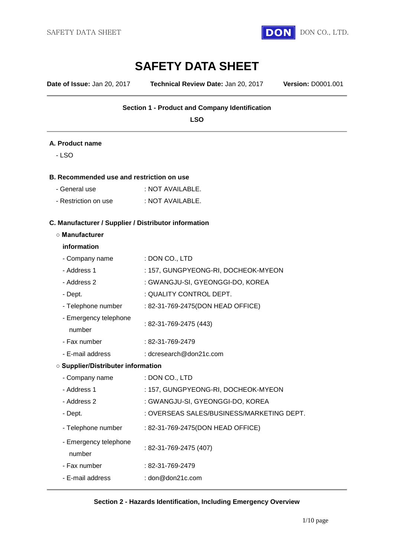

**Date of Issue:** Jan 20, 2017 **Technical Review Date:** Jan 20, 2017 **Version:** D0001.001

#### **Section 1 - Product and Company Identification**

**LSO**

#### **A. Product name**

- LSO

#### **B. Recommended use and restriction on use**

| - General use        | : NOT AVAILABLE. |
|----------------------|------------------|
| - Restriction on use | : NOT AVAILABLE. |

#### **C. Manufacturer / Supplier / Distributor information**

#### **○ Manufacturer**

#### **information**

| - Company name                            | : DON CO., LTD                            |  |
|-------------------------------------------|-------------------------------------------|--|
| - Address 1                               | : 157, GUNGPYEONG-RI, DOCHEOK-MYEON       |  |
| - Address 2                               | : GWANGJU-SI, GYEONGGI-DO, KOREA          |  |
| - Dept.                                   | : QUALITY CONTROL DEPT.                   |  |
| - Telephone number                        | : 82-31-769-2475(DON HEAD OFFICE)         |  |
| - Emergency telephone<br>number           | : 82-31-769-2475 (443)                    |  |
| - Fax number                              | : 82-31-769-2479                          |  |
| - E-mail address                          | : dcresearch@don21c.com                   |  |
| <b>O Supplier/Distributer information</b> |                                           |  |
| - Company name                            | : DON CO., LTD                            |  |
| - Address 1                               | : 157, GUNGPYEONG-RI, DOCHEOK-MYEON       |  |
| - Address 2                               | : GWANGJU-SI, GYEONGGI-DO, KOREA          |  |
| - Dept.                                   | : OVERSEAS SALES/BUSINESS/MARKETING DEPT. |  |
| - Telephone number                        | : 82-31-769-2475(DON HEAD OFFICE)         |  |
| - Emergency telephone<br>number           | : 82-31-769-2475 (407)                    |  |
| - Fax number                              | : 82-31-769-2479                          |  |
| - E-mail address                          | : $\text{don@don21c.com}$                 |  |
|                                           |                                           |  |

#### **Section 2 - Hazards Identification, Including Emergency Overview**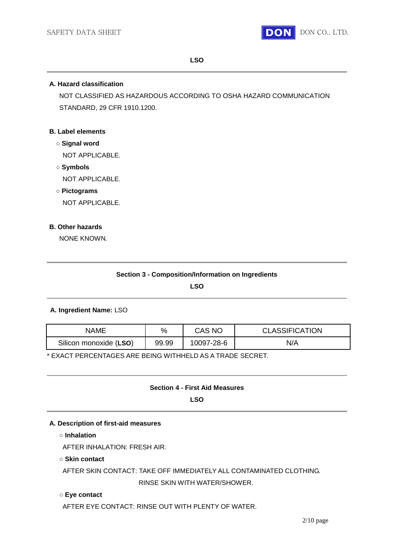

#### **LSO**

#### **A. Hazard classification**

NOT CLASSIFIED AS HAZARDOUS ACCORDING TO OSHA HAZARD COMMUNICATION STANDARD, 29 CFR 1910.1200.

#### **B. Label elements**

- **○ Signal word** NOT APPLICABLE.
- **○ Symbols** NOT APPLICABLE.
- **○ Pictograms**

NOT APPLICABLE.

#### **B. Other hazards**

NONE KNOWN.

**LSO**

#### **A. Ingredient Name:** LSO

| NAME                   | %     | CAS NC     | <b>CLASSIFICATION</b> |
|------------------------|-------|------------|-----------------------|
| Silicon monoxide (LSO) | 99.99 | 10097-28-6 | N/A                   |

\* EXACT PERCENTAGES ARE BEING WITHHELD AS A TRADE SECRET.

# **Section 4 - First Aid Measures**

**LSO**

#### **A. Description of first-aid measures**

**○ Inhalation**

AFTER INHALATION: FRESH AIR.

#### **○ Skin contact**

AFTER SKIN CONTACT: TAKE OFF IMMEDIATELY ALL CONTAMINATED CLOTHING. RINSE SKIN WITH WATER/SHOWER.

#### **○ Eye contact**

AFTER EYE CONTACT: RINSE OUT WITH PLENTY OF WATER.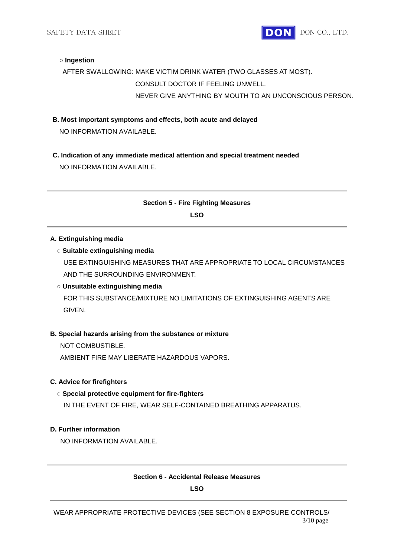SAFETY DATA SHEET **DON** DON CO., LTD.

#### **○ Ingestion**

# AFTER SWALLOWING: MAKE VICTIM DRINK WATER (TWO GLASSES AT MOST). CONSULT DOCTOR IF FEELING UNWELL. NEVER GIVE ANYTHING BY MOUTH TO AN UNCONSCIOUS PERSON.

**B. Most important symptoms and effects, both acute and delayed**

NO INFORMATION AVAILABLE.

**C. Indication of any immediate medical attention and special treatment needed** NO INFORMATION AVAILABLE.

# **Section 5 - Fire Fighting Measures LSO**

#### **A. Extinguishing media**

#### **○ Suitable extinguishing media**

USE EXTINGUISHING MEASURES THAT ARE APPROPRIATE TO LOCAL CIRCUMSTANCES AND THE SURROUNDING ENVIRONMENT.

#### **○ Unsuitable extinguishing media**

FOR THIS SUBSTANCE/MIXTURE NO LIMITATIONS OF EXTINGUISHING AGENTS ARE GIVEN.

#### **B. Special hazards arising from the substance or mixture**

NOT COMBUSTIBLE.

AMBIENT FIRE MAY LIBERATE HAZARDOUS VAPORS.

#### **C. Advice for firefighters**

#### **○ Special protective equipment for fire-fighters**

IN THE EVENT OF FIRE, WEAR SELF-CONTAINED BREATHING APPARATUS.

#### **D. Further information**

NO INFORMATION AVAILABLE.

#### **Section 6 - Accidental Release Measures**

**LSO**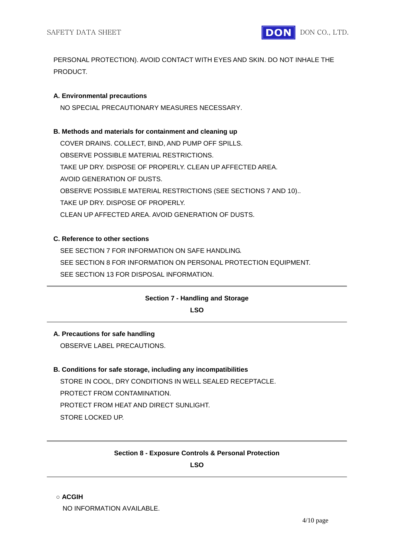

PERSONAL PROTECTION). AVOID CONTACT WITH EYES AND SKIN. DO NOT INHALE THE PRODUCT.

#### **A. Environmental precautions**

NO SPECIAL PRECAUTIONARY MEASURES NECESSARY.

#### **B. Methods and materials for containment and cleaning up**

COVER DRAINS. COLLECT, BIND, AND PUMP OFF SPILLS. OBSERVE POSSIBLE MATERIAL RESTRICTIONS. TAKE UP DRY. DISPOSE OF PROPERLY. CLEAN UP AFFECTED AREA. AVOID GENERATION OF DUSTS. OBSERVE POSSIBLE MATERIAL RESTRICTIONS (SEE SECTIONS 7 AND 10).. TAKE UP DRY. DISPOSE OF PROPERLY. CLEAN UP AFFECTED AREA. AVOID GENERATION OF DUSTS.

#### **C. Reference to other sections**

SEE SECTION 7 FOR INFORMATION ON SAFE HANDLING. SEE SECTION 8 FOR INFORMATION ON PERSONAL PROTECTION EQUIPMENT. SEE SECTION 13 FOR DISPOSAL INFORMATION.

# **Section 7 - Handling and Storage**

**LSO**

# **A. Precautions for safe handling**

OBSERVE LABEL PRECAUTIONS.

# **B. Conditions for safe storage, including any incompatibilities**

STORE IN COOL, DRY CONDITIONS IN WELL SEALED RECEPTACLE. PROTECT FROM CONTAMINATION. PROTECT FROM HEAT AND DIRECT SUNLIGHT. STORE LOCKED UP.

# **Section 8 - Exposure Controls & Personal Protection**

**LSO**

#### **○ ACGIH**

NO INFORMATION AVAILABLE.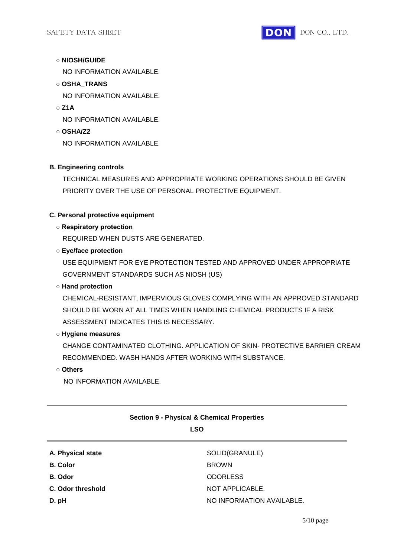

# **○ NIOSH/GUIDE**

NO INFORMATION AVAILABLE.

**○ OSHA\_TRANS**

NO INFORMATION AVAILABLE.

**○ Z1A**

NO INFORMATION AVAILABLE.

**○ OSHA/Z2** NO INFORMATION AVAILABLE.

#### **B. Engineering controls**

TECHNICAL MEASURES AND APPROPRIATE WORKING OPERATIONS SHOULD BE GIVEN PRIORITY OVER THE USE OF PERSONAL PROTECTIVE EQUIPMENT.

#### **C. Personal protective equipment**

#### **○ Respiratory protection**

REQUIRED WHEN DUSTS ARE GENERATED.

#### **○ Eye/face protection**

USE EQUIPMENT FOR EYE PROTECTION TESTED AND APPROVED UNDER APPROPRIATE GOVERNMENT STANDARDS SUCH AS NIOSH (US)

# **○ Hand protection**

CHEMICAL-RESISTANT, IMPERVIOUS GLOVES COMPLYING WITH AN APPROVED STANDARD SHOULD BE WORN AT ALL TIMES WHEN HANDLING CHEMICAL PRODUCTS IF A RISK ASSESSMENT INDICATES THIS IS NECESSARY.

#### **○ Hygiene measures**

CHANGE CONTAMINATED CLOTHING. APPLICATION OF SKIN- PROTECTIVE BARRIER CREAM RECOMMENDED. WASH HANDS AFTER WORKING WITH SUBSTANCE.

**○ Others**

NO INFORMATION AVAILABLE.

# **Section 9 - Physical & Chemical Properties**

#### **LSO**

| A. Physical state | SOLID(GRANULE)            |
|-------------------|---------------------------|
| <b>B.</b> Color   | <b>BROWN</b>              |
| B. Odor           | <b>ODORLESS</b>           |
| C. Odor threshold | NOT APPLICABLE.           |
| D. pH             | NO INFORMATION AVAILABLE. |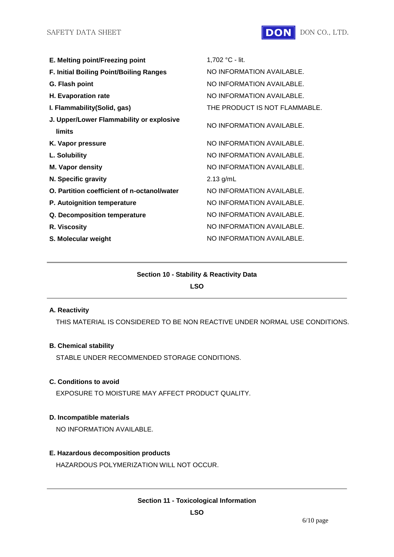

| E. Melting point/Freezing point                           | 1,702 °C - lit.               |
|-----------------------------------------------------------|-------------------------------|
| <b>F. Initial Boiling Point/Boiling Ranges</b>            | NO INFORMATION AVAILABLE.     |
| G. Flash point                                            | NO INFORMATION AVAILABLE.     |
| H. Evaporation rate                                       | NO INFORMATION AVAILABLE.     |
| I. Flammability (Solid, gas)                              | THE PRODUCT IS NOT FLAMMABLE. |
| J. Upper/Lower Flammability or explosive<br><b>limits</b> | NO INFORMATION AVAILABLE.     |
| K. Vapor pressure                                         | NO INFORMATION AVAILABLE.     |
| L. Solubility                                             | NO INFORMATION AVAILABLE.     |
| <b>M. Vapor density</b>                                   | NO INFORMATION AVAILABLE.     |
| N. Specific gravity                                       | $2.13$ g/mL                   |
| O. Partition coefficient of n-octanol/water               | NO INFORMATION AVAILABLE.     |
| P. Autoignition temperature                               | NO INFORMATION AVAILABLE.     |
| Q. Decomposition temperature                              | NO INFORMATION AVAILABLE.     |
| R. Viscosity                                              | NO INFORMATION AVAILABLE.     |
| S. Molecular weight                                       | NO INFORMATION AVAILABLE.     |
|                                                           |                               |

# **Section 10 - Stability & Reactivity Data LSO**

#### **A. Reactivity**

THIS MATERIAL IS CONSIDERED TO BE NON REACTIVE UNDER NORMAL USE CONDITIONS.

#### **B. Chemical stability**

STABLE UNDER RECOMMENDED STORAGE CONDITIONS.

# **C. Conditions to avoid**

EXPOSURE TO MOISTURE MAY AFFECT PRODUCT QUALITY.

#### **D. Incompatible materials**

NO INFORMATION AVAILABLE.

# **E. Hazardous decomposition products**

HAZARDOUS POLYMERIZATION WILL NOT OCCUR.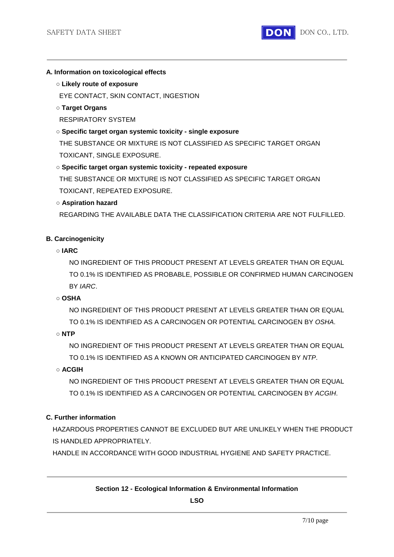

#### **A. Information on toxicological effects**

**○ Likely route of exposure**

EYE CONTACT, SKIN CONTACT, INGESTION

**○ Target Organs**

RESPIRATORY SYSTEM

- **○ Specific target organ systemic toxicity - single exposure** THE SUBSTANCE OR MIXTURE IS NOT CLASSIFIED AS SPECIFIC TARGET ORGAN TOXICANT, SINGLE EXPOSURE.
- **○ Specific target organ systemic toxicity - repeated exposure**

THE SUBSTANCE OR MIXTURE IS NOT CLASSIFIED AS SPECIFIC TARGET ORGAN TOXICANT, REPEATED EXPOSURE.

# **○ Aspiration hazard**

REGARDING THE AVAILABLE DATA THE CLASSIFICATION CRITERIA ARE NOT FULFILLED.

# **B. Carcinogenicity**

**○ IARC**

NO INGREDIENT OF THIS PRODUCT PRESENT AT LEVELS GREATER THAN OR EQUAL TO 0.1% IS IDENTIFIED AS PROBABLE, POSSIBLE OR CONFIRMED HUMAN CARCINOGEN BY *IARC*.

# **○ OSHA**

NO INGREDIENT OF THIS PRODUCT PRESENT AT LEVELS GREATER THAN OR EQUAL TO 0.1% IS IDENTIFIED AS A CARCINOGEN OR POTENTIAL CARCINOGEN BY *OSHA*.

**○ NTP**

NO INGREDIENT OF THIS PRODUCT PRESENT AT LEVELS GREATER THAN OR EQUAL TO 0.1% IS IDENTIFIED AS A KNOWN OR ANTICIPATED CARCINOGEN BY *NTP*.

# **○ ACGIH**

NO INGREDIENT OF THIS PRODUCT PRESENT AT LEVELS GREATER THAN OR EQUAL TO 0.1% IS IDENTIFIED AS A CARCINOGEN OR POTENTIAL CARCINOGEN BY *ACGIH*.

# **C. Further information**

HAZARDOUS PROPERTIES CANNOT BE EXCLUDED BUT ARE UNLIKELY WHEN THE PRODUCT IS HANDLED APPROPRIATELY.

HANDLE IN ACCORDANCE WITH GOOD INDUSTRIAL HYGIENE AND SAFETY PRACTICE.

# **Section 12 - Ecological Information & Environmental Information**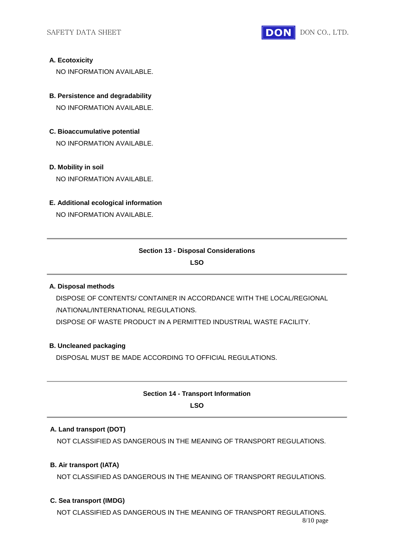

#### **A. Ecotoxicity**

NO INFORMATION AVAILABLE.

- **B. Persistence and degradability** NO INFORMATION AVAILABLE.
- **C. Bioaccumulative potential** NO INFORMATION AVAILABLE.

#### **D. Mobility in soil**

NO INFORMATION AVAILABLE.

#### **E. Additional ecological information**

NO INFORMATION AVAILABLE.

# **Section 13 - Disposal Considerations**

**LSO**

#### **A. Disposal methods**

DISPOSE OF CONTENTS/ CONTAINER IN ACCORDANCE WITH THE LOCAL/REGIONAL /NATIONAL/INTERNATIONAL REGULATIONS. DISPOSE OF WASTE PRODUCT IN A PERMITTED INDUSTRIAL WASTE FACILITY.

#### **B. Uncleaned packaging**

DISPOSAL MUST BE MADE ACCORDING TO OFFICIAL REGULATIONS.

# **Section 14 - Transport Information LSO**

# **A. Land transport (DOT)**

NOT CLASSIFIED AS DANGEROUS IN THE MEANING OF TRANSPORT REGULATIONS.

# **B. Air transport (IATA)**

NOT CLASSIFIED AS DANGEROUS IN THE MEANING OF TRANSPORT REGULATIONS.

#### **C. Sea transport (IMDG)**

8/10 page NOT CLASSIFIED AS DANGEROUS IN THE MEANING OF TRANSPORT REGULATIONS.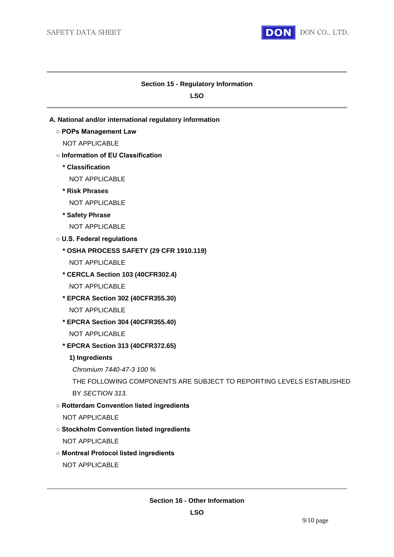

#### **Section 15 - Regulatory Information**

**LSO**

- **A. National and/or international regulatory information**
	- **POPs Management Law**
		- NOT APPLICABLE
	- **Information of EU Classification**
		- **\* Classification**
			- NOT APPLICABLE
		- **\* Risk Phrases**
			- NOT APPLICABLE
		- **\* Safety Phrase**
			- NOT APPLICABLE
	- **U.S. Federal regulations**
		- **\* OSHA PROCESS SAFETY (29 CFR 1910.119)**
			- NOT APPLICABLE
		- **\* CERCLA Section 103 (40CFR302.4)** NOT APPLICABLE
		- **\* EPCRA Section 302 (40CFR355.30)** NOT APPLICABLE
		- **\* EPCRA Section 304 (40CFR355.40)** NOT APPLICABLE
		- **\* EPCRA Section 313 (40CFR372.65)**
			- **1) Ingredients**
			- *Chromium 7440-47-3 100 %*
			- THE FOLLOWING COMPONENTS ARE SUBJECT TO REPORTING LEVELS ESTABLISHED BY *SECTION 313.*
	- **Rotterdam Convention listed ingredients**
		- NOT APPLICABLE
	- **Stockholm Convention listed ingredients**
		- NOT APPLICABLE
	- **Montreal Protocol listed ingredients**
		- NOT APPLICABLE